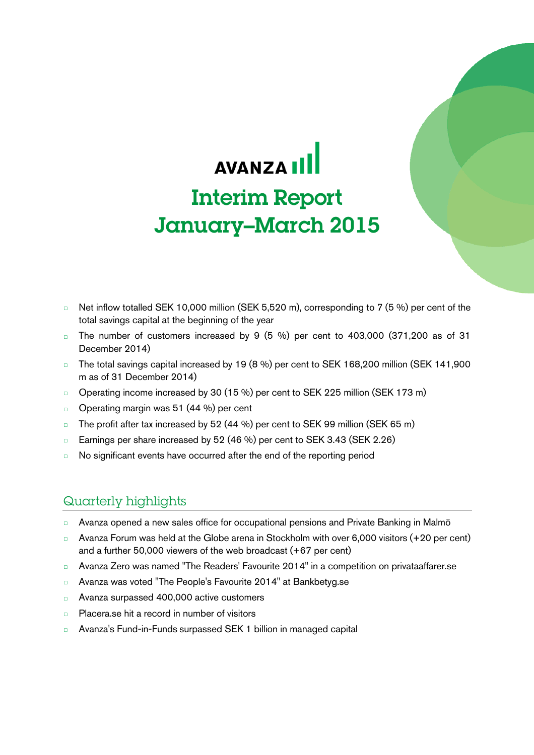# AVANZA III Interim Report January–March 2015

- □ Net inflow totalled SEK 10,000 million (SEK 5,520 m), corresponding to 7 (5 %) per cent of the total savings capital at the beginning of the year
- The number of customers increased by 9  $(5 \%)$  per cent to 403,000  $(371,200$  as of 31 December 2014)
- □ The total savings capital increased by 19 (8 %) per cent to SEK 168,200 million (SEK 141,900 m as of 31 December 2014)
- □ Operating income increased by 30 (15 %) per cent to SEK 225 million (SEK 173 m)
- □ Operating margin was 51 (44 %) per cent
- □ The profit after tax increased by 52 (44 %) per cent to SEK 99 million (SEK 65 m)
- □ Earnings per share increased by 52 (46 %) per cent to SEK 3.43 (SEK 2.26)
- □ No significant events have occurred after the end of the reporting period

# Quarterly highlights

- □ Avanza opened a new sales office for occupational pensions and Private Banking in Malmö
- □ Avanza Forum was held at the Globe arena in Stockholm with over 6,000 visitors (+20 per cent) and a further 50,000 viewers of the web broadcast (+67 per cent)
- □ Avanza Zero was named "The Readers' Favourite 2014" in a competition on privataaffarer.se
- □ Avanza was voted "The People's Favourite 2014" at Bankbetyg.se
- □ Avanza surpassed 400,000 active customers
- □ Placera.se hit a record in number of visitors
- □ Avanza's Fund-in-Funds surpassed SEK 1 billion in managed capital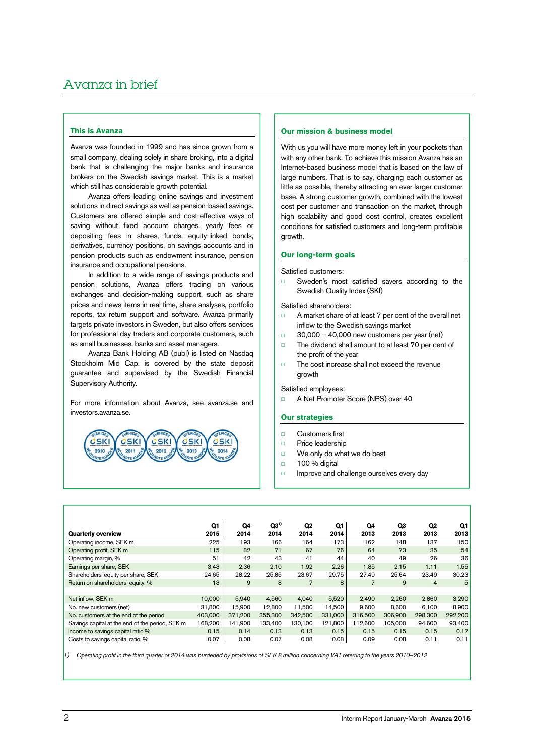# Avanza in brief

# **This is Avanza**

Avanza was founded in 1999 and has since grown from a small company, dealing solely in share broking, into a digital bank that is challenging the major banks and insurance brokers on the Swedish savings market. This is a market which still has considerable growth potential.

Avanza offers leading online savings and investment solutions in direct savings as well as pension-based savings. Customers are offered simple and cost-effective ways of saving without fixed account charges, yearly fees or depositing fees in shares, funds, equity-linked bonds, derivatives, currency positions, on savings accounts and in pension products such as endowment insurance, pension insurance and occupational pensions.

In addition to a wide range of savings products and pension solutions, Avanza offers trading on various exchanges and decision-making support, such as share prices and news items in real time, share analyses, portfolio reports, tax return support and software. Avanza primarily targets private investors in Sweden, but also offers services for professional day traders and corporate customers, such as small businesses, banks and asset managers.

Avanza Bank Holding AB (publ) is listed on Nasdaq Stockholm Mid Cap, is covered by the state deposit guarantee and supervised by the Swedish Financial Supervisory Authority.

For more information about Avanza, see avanza.se and investors.avanza.se.



### **Our mission & business model**

With us you will have more money left in your pockets than with any other bank. To achieve this mission Avanza has an Internet-based business model that is based on the law of large numbers. That is to say, charging each customer as little as possible, thereby attracting an ever larger customer base. A strong customer growth, combined with the lowest cost per customer and transaction on the market, through high scalability and good cost control, creates excellent conditions for satisfied customers and long-term profitable growth.

# **Our long-term goals**

Satisfied customers:

□ Sweden's most satisfied savers according to the Swedish Quality Index (SKI)

Satisfied shareholders:

- □ A market share of at least 7 per cent of the overall net inflow to the Swedish savings market
- $\Box$  30,000 40,000 new customers per year (net)
- □ The dividend shall amount to at least 70 per cent of the profit of the year
- □ The cost increase shall not exceed the revenue growth

Satisfied employees:

□ A Net Promoter Score (NPS) over 40

# **Our strategies**

- □ Customers first
- □ Price leadership
- □ We only do what we do best
- □ 100 % digital
- □ Improve and challenge ourselves every day

|                                                 | Q1              | Q4      | $Q3^{1}$ | Q <sub>2</sub> | Q1      | Q4             | Q3      | Q <sub>2</sub> | Q1      |
|-------------------------------------------------|-----------------|---------|----------|----------------|---------|----------------|---------|----------------|---------|
| <b>Quarterly overview</b>                       | 2015            | 2014    | 2014     | 2014           | 2014    | 2013           | 2013    | 2013           | 2013    |
| Operating income, SEK m                         | 225             | 193     | 166      | 164            | 173     | 162            | 148     | 137            | 150     |
| Operating profit, SEK m                         | 115             | 82      | 71       | 67             | 76      | 64             | 73      | 35             | 54      |
| Operating margin, %                             | 51              | 42      | 43       | 41             | 44      | 40             | 49      | 26             | 36      |
| Earnings per share, SEK                         | 3.43            | 2.36    | 2.10     | 1.92           | 2.26    | 1.85           | 2.15    | 1.11           | 1.55    |
| Shareholders' equity per share, SEK             | 24.65           | 28.22   | 25.85    | 23.67          | 29.75   | 27.49          | 25.64   | 23.49          | 30.23   |
| Return on shareholders' equity, %               | 13 <sub>1</sub> | 9       | 8        | $\overline{7}$ | 8       | $\overline{7}$ | 9       | 4              | 5       |
|                                                 |                 |         |          |                |         |                |         |                |         |
| Net inflow, SEK m                               | 10.000          | 5,940   | 4,560    | 4.040          | 5,520   | 2,490          | 2.260   | 2,860          | 3,290   |
| No. new customers (net)                         | 31.800          | 15.900  | 12.800   | 11.500         | 14.500  | 9.600          | 8.600   | 6.100          | 8,900   |
| No. customers at the end of the period          | 403,000         | 371.200 | 355,300  | 342.500        | 331,000 | 316,500        | 306,900 | 298,300        | 292,200 |
| Savings capital at the end of the period, SEK m | 168,200         | 141.900 | 133,400  | 130,100        | 121,800 | 112,600        | 105,000 | 94,600         | 93,400  |
| Income to savings capital ratio %               | 0.15            | 0.14    | 0.13     | 0.13           | 0.15    | 0.15           | 0.15    | 0.15           | 0.17    |
| Costs to savings capital ratio, %               | 0.07            | 0.08    | 0.07     | 0.08           | 0.08    | 0.09           | 0.08    | 0.11           | 0.11    |

 $|_1$ ) Operating profit in the third quarter of 2014 was burdened by provisions of SEK 8 million concerning VAT referring to the years 2010–2012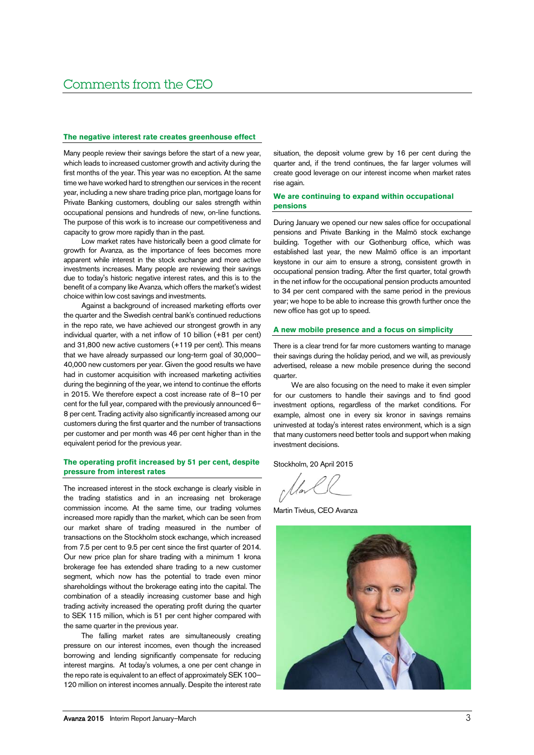### **The negative interest rate creates greenhouse effect**

Many people review their savings before the start of a new year, which leads to increased customer growth and activity during the first months of the year. This year was no exception. At the same time we have worked hard to strengthen our services in the recent year, including a new share trading price plan, mortgage loans for Private Banking customers, doubling our sales strength within occupational pensions and hundreds of new, on-line functions. The purpose of this work is to increase our competitiveness and capacity to grow more rapidly than in the past.

Low market rates have historically been a good climate for growth for Avanza, as the importance of fees becomes more apparent while interest in the stock exchange and more active investments increases. Many people are reviewing their savings due to today's historic negative interest rates, and this is to the benefit of a company like Avanza, which offers the market's widest choice within low cost savings and investments.

Against a background of increased marketing efforts over the quarter and the Swedish central bank's continued reductions in the repo rate, we have achieved our strongest growth in any individual quarter, with a net inflow of 10 billion (+81 per cent) and 31,800 new active customers (+119 per cent). This means that we have already surpassed our long-term goal of 30,000– 40,000 new customers per year. Given the good results we have had in customer acquisition with increased marketing activities during the beginning of the year, we intend to continue the efforts in 2015. We therefore expect a cost increase rate of 8–10 per cent for the full year, compared with the previously announced 6– 8 per cent. Trading activity also significantly increased among our customers during the first quarter and the number of transactions per customer and per month was 46 per cent higher than in the equivalent period for the previous year.

# **The operating profit increased by 51 per cent, despite pressure from interest rates**

The increased interest in the stock exchange is clearly visible in the trading statistics and in an increasing net brokerage commission income. At the same time, our trading volumes increased more rapidly than the market, which can be seen from our market share of trading measured in the number of transactions on the Stockholm stock exchange, which increased from 7.5 per cent to 9.5 per cent since the first quarter of 2014. Our new price plan for share trading with a minimum 1 krona brokerage fee has extended share trading to a new customer segment, which now has the potential to trade even minor shareholdings without the brokerage eating into the capital. The combination of a steadily increasing customer base and high trading activity increased the operating profit during the quarter to SEK 115 million, which is 51 per cent higher compared with the same quarter in the previous year.

The falling market rates are simultaneously creating pressure on our interest incomes, even though the increased borrowing and lending significantly compensate for reducing interest margins. At today's volumes, a one per cent change in the repo rate is equivalent to an effect of approximately SEK 100– 120 million on interest incomes annually. Despite the interest rate

situation, the deposit volume grew by 16 per cent during the quarter and, if the trend continues, the far larger volumes will create good leverage on our interest income when market rates rise again.

# **We are continuing to expand within occupational pensions**

During January we opened our new sales office for occupational pensions and Private Banking in the Malmö stock exchange building. Together with our Gothenburg office, which was established last year, the new Malmö office is an important keystone in our aim to ensure a strong, consistent growth in occupational pension trading. After the first quarter, total growth in the net inflow for the occupational pension products amounted to 34 per cent compared with the same period in the previous year; we hope to be able to increase this growth further once the new office has got up to speed.

# **A new mobile presence and a focus on simplicity**

There is a clear trend for far more customers wanting to manage their savings during the holiday period, and we will, as previously advertised, release a new mobile presence during the second quarter.

We are also focusing on the need to make it even simpler for our customers to handle their savings and to find good investment options, regardless of the market conditions. For example, almost one in every six kronor in savings remains uninvested at today's interest rates environment, which is a sign that many customers need better tools and support when making investment decisions.

Stockholm, 20 April 2015

Martin Tivéus, CEO Avanza

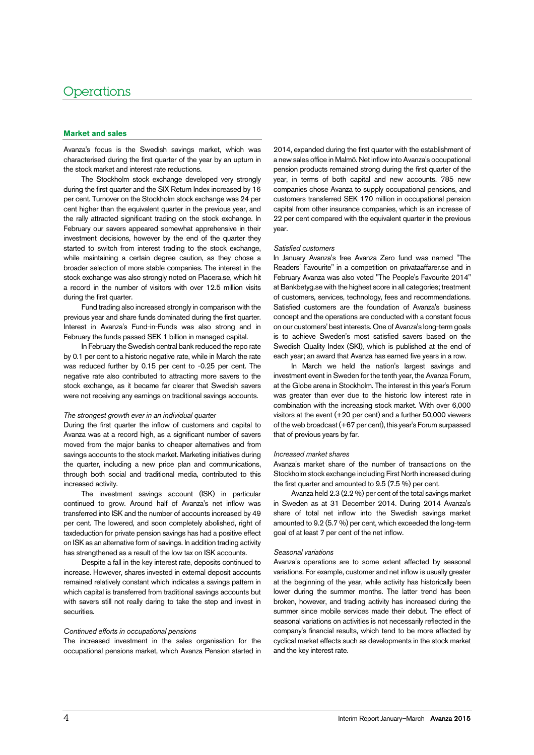# **Operations**

# **Market and sales**

Avanza's focus is the Swedish savings market, which was characterised during the first quarter of the year by an upturn in the stock market and interest rate reductions.

The Stockholm stock exchange developed very strongly during the first quarter and the SIX Return Index increased by 16 per cent. Turnover on the Stockholm stock exchange was 24 per cent higher than the equivalent quarter in the previous year, and the rally attracted significant trading on the stock exchange. In February our savers appeared somewhat apprehensive in their investment decisions, however by the end of the quarter they started to switch from interest trading to the stock exchange, while maintaining a certain degree caution, as they chose a broader selection of more stable companies. The interest in the stock exchange was also strongly noted on Placera.se, which hit a record in the number of visitors with over 12.5 million visits during the first quarter.

Fund trading also increased strongly in comparison with the previous year and share funds dominated during the first quarter. Interest in Avanza's Fund-in-Funds was also strong and in February the funds passed SEK 1 billion in managed capital.

In February the Swedish central bank reduced the repo rate by 0.1 per cent to a historic negative rate, while in March the rate was reduced further by 0.15 per cent to -0.25 per cent. The negative rate also contributed to attracting more savers to the stock exchange, as it became far clearer that Swedish savers were not receiving any earnings on traditional savings accounts.

### The strongest growth ever in an individual quarter

During the first quarter the inflow of customers and capital to Avanza was at a record high, as a significant number of savers moved from the major banks to cheaper alternatives and from savings accounts to the stock market. Marketing initiatives during the quarter, including a new price plan and communications, through both social and traditional media, contributed to this increased activity.

The investment savings account (ISK) in particular continued to grow. Around half of Avanza's net inflow was transferred into ISK and the number of accounts increased by 49 per cent. The lowered, and soon completely abolished, right of taxdeduction for private pension savings has had a positive effect on ISK as an alternative form of savings. In addition trading activity has strengthened as a result of the low tax on ISK accounts.

Despite a fall in the key interest rate, deposits continued to increase. However, shares invested in external deposit accounts remained relatively constant which indicates a savings pattern in which capital is transferred from traditional savings accounts but with savers still not really daring to take the step and invest in securities.

### Continued efforts in occupational pensions

The increased investment in the sales organisation for the occupational pensions market, which Avanza Pension started in

2014, expanded during the first quarter with the establishment of a new sales office in Malmö. Net inflow into Avanza's occupational pension products remained strong during the first quarter of the year, in terms of both capital and new accounts. 785 new companies chose Avanza to supply occupational pensions, and customers transferred SEK 170 million in occupational pension capital from other insurance companies, which is an increase of 22 per cent compared with the equivalent quarter in the previous year.

#### Satisfied customers

In January Avanza's free Avanza Zero fund was named "The Readers' Favourite" in a competition on privataaffarer.se and in February Avanza was also voted "The People's Favourite 2014" at Bankbetyg.se with the highest score in all categories; treatment of customers, services, technology, fees and recommendations. Satisfied customers are the foundation of Avanza's business concept and the operations are conducted with a constant focus on our customers' best interests. One of Avanza's long-term goals is to achieve Sweden's most satisfied savers based on the Swedish Quality Index (SKI), which is published at the end of each year; an award that Avanza has earned five years in a row.

In March we held the nation's largest savings and investment event in Sweden for the tenth year, the Avanza Forum, at the Globe arena in Stockholm. The interest in this year's Forum was greater than ever due to the historic low interest rate in combination with the increasing stock market. With over 6,000 visitors at the event (+20 per cent) and a further 50,000 viewers of the web broadcast (+67 per cent), this year's Forum surpassed that of previous years by far.

### Increased market shares

Avanza's market share of the number of transactions on the Stockholm stock exchange including First North increased during the first quarter and amounted to 9.5 (7.5 %) per cent.

Avanza held 2.3 (2.2 %) per cent of the total savings market in Sweden as at 31 December 2014. During 2014 Avanza's share of total net inflow into the Swedish savings market amounted to 9.2 (5.7 %) per cent, which exceeded the long-term goal of at least 7 per cent of the net inflow.

#### Seasonal variations

Avanza's operations are to some extent affected by seasonal variations. For example, customer and net inflow is usually greater at the beginning of the year, while activity has historically been lower during the summer months. The latter trend has been broken, however, and trading activity has increased during the summer since mobile services made their debut. The effect of seasonal variations on activities is not necessarily reflected in the company's financial results, which tend to be more affected by cyclical market effects such as developments in the stock market and the key interest rate.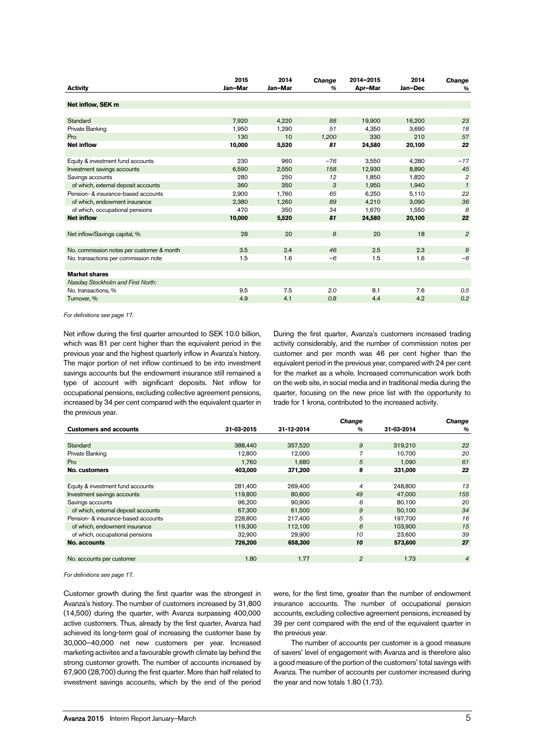| <b>Activity</b>                           | 2015<br>Jan-Mar | 2014<br>Jan-Mar | <b>Change</b><br>$\frac{9}{6}$ | 2014-2015<br>Apr-Mar | 2014<br>Jan-Dec | Change<br>$\%$ |
|-------------------------------------------|-----------------|-----------------|--------------------------------|----------------------|-----------------|----------------|
|                                           |                 |                 |                                |                      |                 |                |
| Net inflow, SEK m                         |                 |                 |                                |                      |                 |                |
| Standard                                  | 7,920           |                 | 88                             | 19,900               |                 | 23             |
|                                           |                 | 4,220           | 51                             |                      | 16,200          | 18             |
| Private Banking                           | 1,950           | 1,290           |                                | 4.350                | 3.690           |                |
| Pro                                       | 130             | 10              | 1,200                          | 330                  | 210             | 57             |
| <b>Net inflow</b>                         | 10,000          | 5,520           | 81                             | 24,580               | 20,100          | 22             |
|                                           |                 |                 |                                |                      |                 |                |
| Equity & investment fund accounts         | 230             | 960             | $-76$                          | 3,550                | 4,280           | $-17$          |
| Investment savings accounts               | 6.590           | 2,550           | 158                            | 12.930               | 8,890           | 45             |
| Savings accounts                          | 280             | 250             | 12                             | 1.850                | 1,820           | $\overline{2}$ |
| of which, external deposit accounts       | 360             | 350             | 3                              | 1,950                | 1,940           | $\mathbf{1}$   |
| Pension- & insurance-based accounts       | 2.900           | 1.760           | 65                             | 6.250                | 5.110           | 22             |
| of which, endowment insurance             | 2.380           | 1,260           | 89                             | 4,210                | 3,090           | 36             |
| of which, occupational pensions           | 470             | 350             | 34                             | 1.670                | 1.550           | 8              |
| <b>Net inflow</b>                         | 10,000          | 5,520           | 81                             | 24,580               | 20,100          | 22             |
|                                           |                 |                 |                                |                      |                 |                |
| Net inflow/Savings capital, %             | 28              | 20              | 8                              | 20                   | 18              | $\overline{2}$ |
|                                           |                 |                 |                                |                      |                 |                |
| No. commission notes per customer & month | 3.5             | 2.4             | 46                             | 2.5                  | 2.3             | $\mathfrak{g}$ |
| No. transactions per commission note      | 1.5             | 1.6             | $-6$                           | 1.5                  | 1.6             | $-6$           |
|                                           |                 |                 |                                |                      |                 |                |
| <b>Market shares</b>                      |                 |                 |                                |                      |                 |                |
| Nasdag Stockholm and First North:         |                 |                 |                                |                      |                 |                |
| No. transactions, %                       | 9.5             | 7.5             | 2.0                            | 8.1                  | 7.6             | 0.5            |
| Turnover, %                               | 4.9             | 4.1             | 0.8                            | 4.4                  | 4.2             | 0.2            |
|                                           |                 |                 |                                |                      |                 |                |

For definitions see page 17.

Net inflow during the first quarter amounted to SEK 10.0 billion, which was 81 per cent higher than the equivalent period in the previous year and the highest quarterly inflow in Avanza's history. The major portion of net inflow continued to be into investment savings accounts but the endowment insurance still remained a type of account with significant deposits. Net inflow for occupational pensions, excluding collective agreement pensions, increased by 34 per cent compared with the equivalent quarter in the previous year.

During the first quarter, Avanza's customers increased trading activity considerably, and the number of commission notes per customer and per month was 46 per cent higher than the equivalent period in the previous year, compared with 24 per cent for the market as a whole. Increased communication work both on the web site, in social media and in traditional media during the quarter, focusing on the new price list with the opportunity to trade for 1 krona, contributed to the increased activity.

|            |            | <b>Change</b>  |            | <b>Change</b>  |
|------------|------------|----------------|------------|----------------|
| 31-03-2015 | 31-12-2014 | $\frac{9}{6}$  | 31-03-2014 | %              |
|            |            |                |            |                |
| 388.440    | 357,520    | 9              | 319,210    | 22             |
| 12,800     | 12,000     | 7              | 10,700     | 20             |
| 1,760      | 1,680      | 5              | 1,090      | 61             |
| 403,000    | 371,200    | 9              | 331,000    | 22             |
|            |            |                |            |                |
| 281,400    | 269,400    | $\overline{4}$ | 248,800    | 13             |
| 119,800    | 80,600     | 49             | 47,000     | 155            |
| 96.200     | 90.900     | 6              | 80,100     | 20             |
| 67,300     | 61,500     | 9              | 50,100     | 34             |
| 228,800    | 217,400    | 5              | 197,700    | 16             |
| 119,300    | 112,100    | 6              | 103.900    | 15             |
| 32,900     | 29,900     | 10             | 23,600     | 39             |
| 726,200    | 658,300    | 10             | 573,600    | 27             |
|            |            |                |            |                |
| 1.80       | 1.77       | $\overline{2}$ | 1.73       | $\overline{4}$ |
|            |            |                |            |                |

For definitions see page 17.

Customer growth during the first quarter was the strongest in Avanza's history. The number of customers increased by 31,800 (14,500) during the quarter, with Avanza surpassing 400,000 active customers. Thus, already by the first quarter, Avanza had achieved its long-term goal of increasing the customer base by 30,000–40,000 net new customers per year. Increased marketing activites and a favourable growth climate lay behind the strong customer growth. The number of accounts increased by 67,900 (28,700) during the first quarter. More than half related to investment savings accounts, which by the end of the period

were, for the first time, greater than the number of endowment insurance accounts. The number of occupational pension accounts, excluding collective agreement pensions, increased by 39 per cent compared with the end of the equivalent quarter in the previous year.

The number of accounts per customer is a good measure of savers' level of engagement with Avanza and is therefore also a good measure of the portion of the customers' total savings with Avanza. The number of accounts per customer increased during the year and now totals 1.80 (1.73).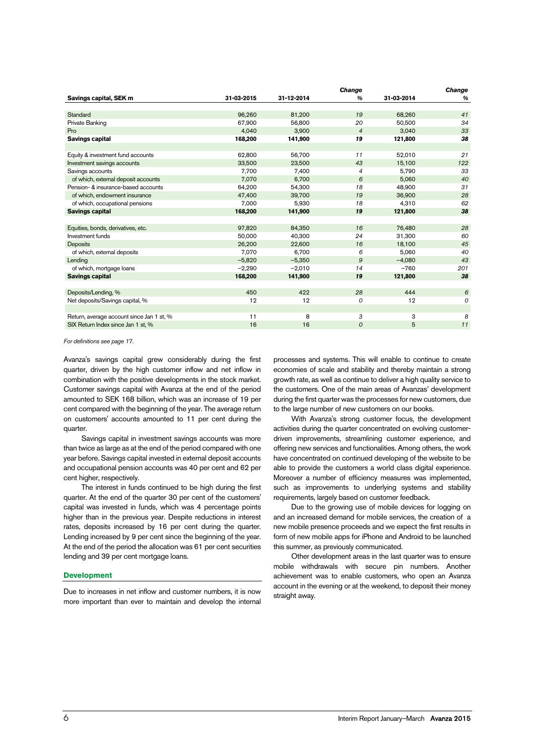|            |            | <b>Change</b>  |            | <b>Change</b> |
|------------|------------|----------------|------------|---------------|
| 31-03-2015 | 31-12-2014 | $\%$           | 31-03-2014 | %             |
|            |            |                |            |               |
| 96,260     | 81,200     | 19             | 68,260     | 41            |
| 67,900     | 56,800     | 20             | 50,500     | 34            |
| 4,040      | 3.900      | $\overline{4}$ | 3,040      | 33            |
| 168,200    | 141,900    | 19             | 121,800    | 38            |
|            |            |                |            |               |
| 62,800     | 56,700     | 11             | 52,010     | 21            |
| 33,500     | 23,500     | 43             | 15,100     | 122           |
| 7,700      | 7,400      | $\overline{4}$ | 5,790      | 33            |
| 7.070      | 6,700      | 6              | 5,060      | 40            |
| 64,200     | 54,300     | 18             | 48,900     | 31            |
| 47.400     | 39.700     | 19             | 36.900     | 28            |
| 7,000      | 5,930      | 18             | 4,310      | 62            |
| 168,200    | 141,900    | 19             | 121,800    | 38            |
|            |            |                |            |               |
| 97,820     | 84.350     | 16             | 76,480     | 28            |
| 50,000     | 40,300     | 24             | 31,300     | 60            |
| 26,200     | 22,600     | 16             | 18,100     | 45            |
| 7,070      | 6,700      | 6              | 5,060      | 40            |
| $-5,820$   | $-5,350$   | 9              | $-4.080$   | 43            |
| $-2,290$   | $-2,010$   | 14             | $-760$     | 201           |
| 168,200    | 141,900    | 19             | 121,800    | 38            |
|            |            |                |            |               |
| 450        | 422        | 28             | 444        | 6             |
| 12         | 12         | $\overline{O}$ | 12         | 0             |
|            |            |                |            |               |
| 11         | 8          | 3              | 3          | 8             |
| 16         | 16         | $\overline{O}$ | 5          | 11            |
|            |            |                |            |               |

For definitions see page 17.

Avanza's savings capital grew considerably during the first quarter, driven by the high customer inflow and net inflow in combination with the positive developments in the stock market. Customer savings capital with Avanza at the end of the period amounted to SEK 168 billion, which was an increase of 19 per cent compared with the beginning of the year. The average return on customers' accounts amounted to 11 per cent during the quarter.

Savings capital in investment savings accounts was more than twice as large as at the end of the period compared with one year before. Savings capital invested in external deposit accounts and occupational pension accounts was 40 per cent and 62 per cent higher, respectively.

The interest in funds continued to be high during the first quarter. At the end of the quarter 30 per cent of the customers' capital was invested in funds, which was 4 percentage points higher than in the previous year. Despite reductions in interest rates, deposits increased by 16 per cent during the quarter. Lending increased by 9 per cent since the beginning of the year. At the end of the period the allocation was 61 per cent securities lending and 39 per cent mortgage loans.

#### **Development**

Due to increases in net inflow and customer numbers, it is now more important than ever to maintain and develop the internal processes and systems. This will enable to continue to create economies of scale and stability and thereby maintain a strong growth rate, as well as continue to deliver a high quality service to the customers. One of the main areas of Avanzas' development during the first quarter was the processes for new customers, due to the large number of new customers on our books.

With Avanza's strong customer focus, the development activities during the quarter concentrated on evolving customerdriven improvements, streamlining customer experience, and offering new services and functionalities. Among others, the work have concentrated on continued developing of the website to be able to provide the customers a world class digital experience. Moreover a number of efficiency measures was implemented, such as improvements to underlying systems and stability requirements, largely based on customer feedback.

Due to the growing use of mobile devices for logging on and an increased demand for mobile services, the creation of a new mobile presence proceeds and we expect the first results in form of new mobile apps for iPhone and Android to be launched this summer, as previously communicated.

Other development areas in the last quarter was to ensure mobile withdrawals with secure pin numbers. Another achievement was to enable customers, who open an Avanza account in the evening or at the weekend, to deposit their money straight away.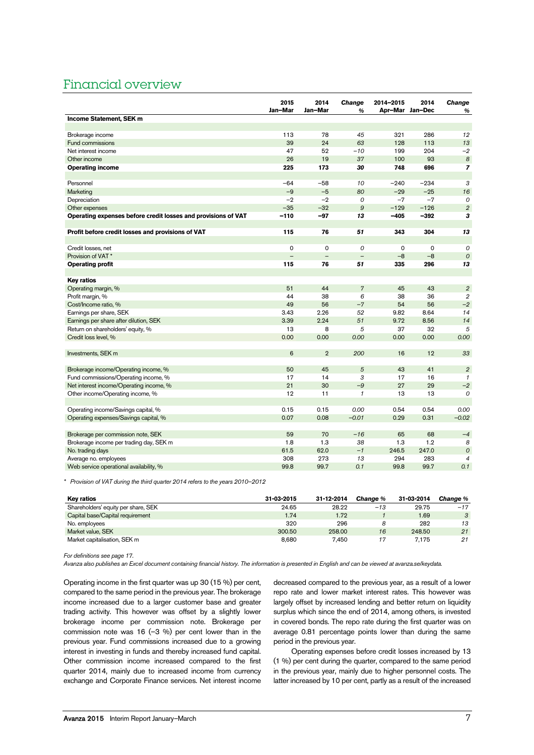# Financial overview

|                                                               | 2015           | 2014              | <b>Change</b>     | 2014-2015   | 2014            | <b>Change</b>    |
|---------------------------------------------------------------|----------------|-------------------|-------------------|-------------|-----------------|------------------|
|                                                               | Jan-Mar        | Jan-Mar           | %                 |             | Apr-Mar Jan-Dec | %                |
| Income Statement, SEK m                                       |                |                   |                   |             |                 |                  |
| Brokerage income                                              | 113            | 78                | 45                | 321         | 286             | 12               |
| Fund commissions                                              | 39             | 24                | 63                | 128         | 113             | 13               |
| Net interest income                                           | 47             | 52                | $-10$             | 199         | 204             | $-2$             |
| Other income                                                  | 26             | 19                | 37                | 100         | 93              | $\boldsymbol{8}$ |
| <b>Operating income</b>                                       | 225            | 173               | 30                | 748         | 696             | $\overline{z}$   |
|                                                               |                |                   |                   |             |                 |                  |
| Personnel                                                     | -64            | $-58$             | 10                | $-240$      | $-234$          | 3                |
| Marketing                                                     | $-9$           | $-5$              | 80                | $-29$       | $-25$           | 16               |
| Depreciation                                                  | $-2$           | $-2$              | 0                 | $-7$        | $-7$            | $\mathcal{O}$    |
| Other expenses                                                | $-35$          | $-32$             | 9                 | $-129$      | $-126$          | $\overline{2}$   |
| Operating expenses before credit losses and provisions of VAT | $-110$         | $-97$             | 13                | $-405$      | $-392$          | 3                |
|                                                               |                |                   |                   |             |                 |                  |
| Profit before credit losses and provisions of VAT             | 115            | 76                | 51                | 343         | 304             | 13               |
|                                                               |                |                   |                   |             |                 |                  |
| Credit losses, net                                            | $\mathbf 0$    | $\mathsf{o}$      | 0                 | $\mathbf 0$ | $\mathbf 0$     | $\mathcal{O}$    |
| Provision of VAT <sup>*</sup>                                 | $\overline{a}$ | $\qquad \qquad -$ | $\qquad \qquad -$ | $-8$        | $-8$            | $\overline{O}$   |
| <b>Operating profit</b>                                       | 115            | 76                | 51                | 335         | 296             | 13               |
|                                                               |                |                   |                   |             |                 |                  |
| <b>Key ratios</b>                                             |                |                   |                   |             |                 |                  |
| Operating margin, %                                           | 51             | 44                | $\overline{7}$    | 45          | 43              | $\overline{2}$   |
| Profit margin, %                                              | 44             | 38                | 6                 | 38          | 36              | $\overline{2}$   |
| Cost/Income ratio, %                                          | 49             | 56                | $-7$              | 54          | 56              | $-2$             |
| Earnings per share, SEK                                       | 3.43           | 2.26              | 52                | 9.82        | 8.64            | 14               |
| Earnings per share after dilution, SEK                        | 3.39           | 2.24              | 51                | 9.72        | 8.56            | 14               |
| Return on shareholders' equity, %                             | 13             | 8                 | 5                 | 37          | 32              | 5                |
| Credit loss level, %                                          | 0.00           | 0.00              | 0.00              | 0.00        | 0.00            | 0.00             |
| Investments, SEK m                                            | 6              | $\overline{2}$    | 200               | 16          | 12              | 33               |
|                                                               |                |                   |                   |             |                 |                  |
| Brokerage income/Operating income, %                          | 50             | 45                | 5                 | 43          | 41              | $\overline{2}$   |
| Fund commissions/Operating income, %                          | 17             | 14                | 3                 | 17          | 16              | $\mathcal I$     |
| Net interest income/Operating income, %                       | 21             | 30                | $-9$              | 27          | 29              | $-2$             |
| Other income/Operating income, %                              | 12             | 11                | $\mathbf{1}$      | 13          | 13              | $\mathcal{O}$    |
|                                                               |                |                   |                   |             |                 |                  |
| Operating income/Savings capital, %                           | 0.15           | 0.15              | 0.00              | 0.54        | 0.54            | 0.00             |
| Operating expenses/Savings capital, %                         | 0.07           | 0.08              | $-0.01$           | 0.29        | 0.31            | $-0.02$          |
|                                                               |                |                   |                   |             |                 |                  |
| Brokerage per commission note, SEK                            | 59             | 70                | $-16$             | 65          | 68              | $-4$             |
| Brokerage income per trading day, SEK m                       | 1.8            | 1.3               | 38                | 1.3         | 1.2             | 8                |
| No. trading days                                              | 61.5           | 62.0              | $-1$              | 246.5       | 247.0           | $\overline{O}$   |
| Average no. employees                                         | 308            | 273               | 13                | 294         | 283             | 4                |
| Web service operational availability, %                       | 99.8           | 99.7              | 0.1               | 99.8        | 99.7            | 0.1              |

\* Provision of VAT during the third quarter 2014 refers to the years 2010–2012

| Kev ratios                          | 31-03-2015 | 31-12-2014 | <b>Change</b> % | 31-03-2014 | <b>Change</b> % |
|-------------------------------------|------------|------------|-----------------|------------|-----------------|
| Shareholders' equity per share, SEK | 24.65      | 28.22      | $-13$           | 29.75      | $-17$           |
| Capital base/Capital requirement    | 1.74       | 1.72       |                 | 1.69       | $\mathbf{3}$    |
| No. employees                       | 320        | 296        |                 | 282        | 13              |
| Market value, SEK                   | 300.50     | 258.00     | 16              | 248.50     | 21              |
| Market capitalisation, SEK m        | 8.680      | 7.450      |                 | 7.175      | 21              |

For definitions see page 17.

Avanza also publishes an Excel document containing financial history. The information is presented in English and can be viewed at avanza.se/keydata.

Operating income in the first quarter was up 30 (15 %) per cent, compared to the same period in the previous year. The brokerage income increased due to a larger customer base and greater trading activity. This however was offset by a slightly lower brokerage income per commission note. Brokerage per commission note was 16  $(-3 \%)$  per cent lower than in the previous year. Fund commissions increased due to a growing interest in investing in funds and thereby increased fund capital. Other commission income increased compared to the first quarter 2014, mainly due to increased income from currency exchange and Corporate Finance services. Net interest income

decreased compared to the previous year, as a result of a lower repo rate and lower market interest rates. This however was largely offset by increased lending and better return on liquidity surplus which since the end of 2014, among others, is invested in covered bonds. The repo rate during the first quarter was on average 0.81 percentage points lower than during the same period in the previous year.

Operating expenses before credit losses increased by 13 (1 %) per cent during the quarter, compared to the same period in the previous year, mainly due to higher personnel costs. The latter increased by 10 per cent, partly as a result of the increased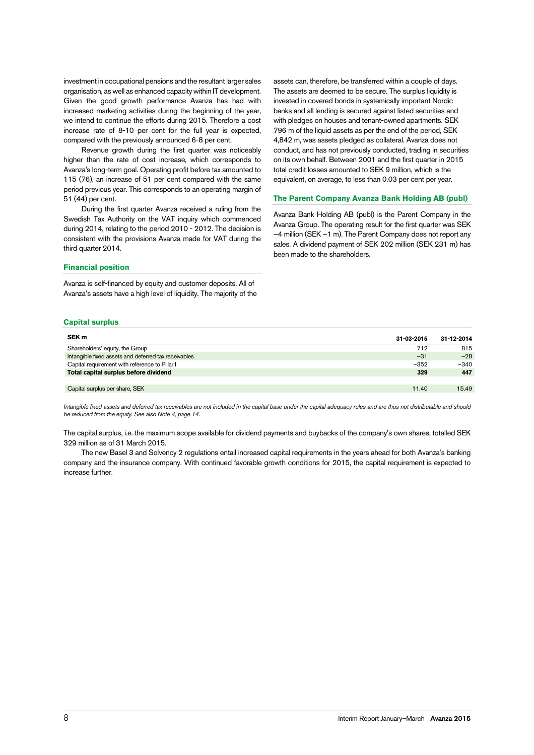investment in occupational pensions and the resultant larger sales organisation, as well as enhanced capacity within IT development. Given the good growth performance Avanza has had with increased marketing activities during the beginning of the year, we intend to continue the efforts during 2015. Therefore a cost increase rate of 8-10 per cent for the full year is expected, compared with the previously announced 6-8 per cent.

Revenue growth during the first quarter was noticeably higher than the rate of cost increase, which corresponds to Avanza's long-term goal. Operating profit before tax amounted to 115 (76), an increase of 51 per cent compared with the same period previous year. This corresponds to an operating margin of 51 (44) per cent.

During the first quarter Avanza received a ruling from the Swedish Tax Authority on the VAT inquiry which commenced during 2014, relating to the period 2010 - 2012. The decision is consistent with the provisions Avanza made for VAT during the third quarter 2014.

### **Financial position**

Avanza is self-financed by equity and customer deposits. All of Avanza's assets have a high level of liquidity. The majority of the assets can, therefore, be transferred within a couple of days. The assets are deemed to be secure. The surplus liquidity is invested in covered bonds in systemically important Nordic banks and all lending is secured against listed securities and with pledges on houses and tenant-owned apartments. SEK 796 m of the liquid assets as per the end of the period, SEK 4,842 m, was assets pledged as collateral. Avanza does not conduct, and has not previously conducted, trading in securities on its own behalf. Between 2001 and the first quarter in 2015 total credit losses amounted to SEK 9 million, which is the equivalent, on average, to less than 0.03 per cent per year.

# **The Parent Company Avanza Bank Holding AB (publ)**

Avanza Bank Holding AB (publ) is the Parent Company in the Avanza Group. The operating result for the first quarter was SEK –4 million (SEK –1 m). The Parent Company does not report any sales. A dividend payment of SEK 202 million (SEK 231 m) has been made to the shareholders.

# **Capital surplus**

| SEK <sub>m</sub>                                     | 31-03-2015 | 31-12-2014 |
|------------------------------------------------------|------------|------------|
| Shareholders' equity, the Group                      | 712        | 815        |
| Intangible fixed assets and deferred tax receivables | $-31$      | $-28$      |
| Capital requirement with reference to Pillar I       | $-352$     | $-340$     |
| Total capital surplus before dividend                | 329        | 447        |
|                                                      |            |            |
| Capital surplus per share, SEK                       | 11.40      | 15.49      |

Intangible fixed assets and deferred tax receivables are not included in the capital base under the capital adequacy rules and are thus not distributable and should be reduced from the equity. See also Note 4, page 14.

The capital surplus, i.e. the maximum scope available for dividend payments and buybacks of the company's own shares, totalled SEK 329 million as of 31 March 2015.

The new Basel 3 and Solvency 2 regulations entail increased capital requirements in the years ahead for both Avanza's banking company and the insurance company. With continued favorable growth conditions for 2015, the capital requirement is expected to increase further.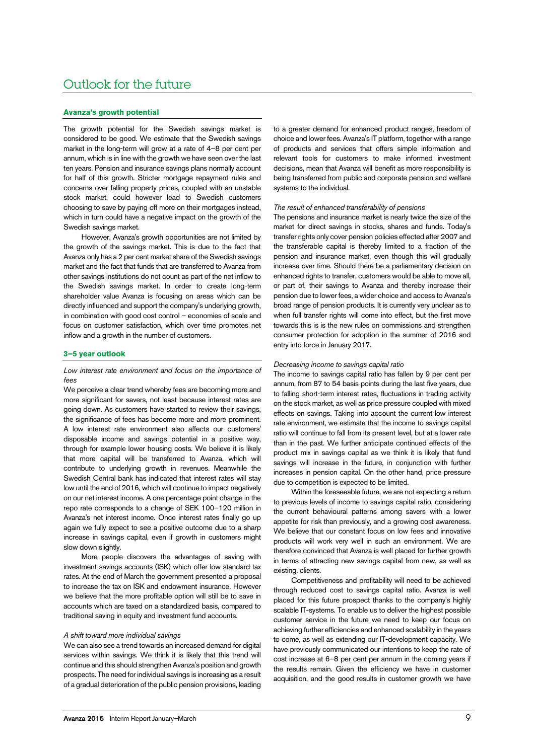# Outlook for the future

### **Avanza's growth potential**

The growth potential for the Swedish savings market is considered to be good. We estimate that the Swedish savings market in the long-term will grow at a rate of 4–8 per cent per annum, which is in line with the growth we have seen over the last ten years. Pension and insurance savings plans normally account for half of this growth. Stricter mortgage repayment rules and concerns over falling property prices, coupled with an unstable stock market, could however lead to Swedish customers choosing to save by paying off more on their mortgages instead, which in turn could have a negative impact on the growth of the Swedish savings market.

However, Avanza's growth opportunities are not limited by the growth of the savings market. This is due to the fact that Avanza only has a 2 per cent market share of the Swedish savings market and the fact that funds that are transferred to Avanza from other savings institutions do not count as part of the net inflow to the Swedish savings market. In order to create long-term shareholder value Avanza is focusing on areas which can be directly influenced and support the company's underlying growth, in combination with good cost control – economies of scale and focus on customer satisfaction, which over time promotes net inflow and a growth in the number of customers.

#### **3–5 year outlook**

# Low interest rate environment and focus on the importance of fees

We perceive a clear trend whereby fees are becoming more and more significant for savers, not least because interest rates are going down. As customers have started to review their savings, the significance of fees has become more and more prominent. A low interest rate environment also affects our customers' disposable income and savings potential in a positive way, through for example lower housing costs. We believe it is likely that more capital will be transferred to Avanza, which will contribute to underlying growth in revenues. Meanwhile the Swedish Central bank has indicated that interest rates will stay low until the end of 2016, which will continue to impact negatively on our net interest income. A one percentage point change in the repo rate corresponds to a change of SEK 100–120 million in Avanza's net interest income. Once interest rates finally go up again we fully expect to see a positive outcome due to a sharp increase in savings capital, even if growth in customers might slow down slightly.

More people discovers the advantages of saving with investment savings accounts (ISK) which offer low standard tax rates. At the end of March the government presented a proposal to increase the tax on ISK and endowment insurance. However we believe that the more profitable option will still be to save in accounts which are taxed on a standardized basis, compared to traditional saving in equity and investment fund accounts.

### A shift toward more individual savings

We can also see a trend towards an increased demand for digital services within savings. We think it is likely that this trend will continue and this should strengthen Avanza's position and growth prospects. The need for individual savings is increasing as a result of a gradual deterioration of the public pension provisions, leading to a greater demand for enhanced product ranges, freedom of choice and lower fees. Avanza's IT platform, together with a range of products and services that offers simple information and relevant tools for customers to make informed investment decisions, mean that Avanza will benefit as more responsibility is being transferred from public and corporate pension and welfare systems to the individual.

#### The result of enhanced transferability of pensions

The pensions and insurance market is nearly twice the size of the market for direct savings in stocks, shares and funds. Today's transfer rights only cover pension policies effected after 2007 and the transferable capital is thereby limited to a fraction of the pension and insurance market, even though this will gradually increase over time. Should there be a parliamentary decision on enhanced rights to transfer, customers would be able to move all, or part of, their savings to Avanza and thereby increase their pension due to lower fees, a wider choice and access to Avanza's broad range of pension products. It is currently very unclear as to when full transfer rights will come into effect, but the first move towards this is is the new rules on commissions and strengthen consumer protection for adoption in the summer of 2016 and entry into force in January 2017.

#### Decreasing income to savings capital ratio

The income to savings capital ratio has fallen by 9 per cent per annum, from 87 to 54 basis points during the last five years, due to falling short-term interest rates, fluctuations in trading activity on the stock market, as well as price pressure coupled with mixed effects on savings. Taking into account the current low interest rate environment, we estimate that the income to savings capital ratio will continue to fall from its present level, but at a lower rate than in the past. We further anticipate continued effects of the product mix in savings capital as we think it is likely that fund savings will increase in the future, in conjunction with further increases in pension capital. On the other hand, price pressure due to competition is expected to be limited.

Within the foreseeable future, we are not expecting a return to previous levels of income to savings capital ratio, considering the current behavioural patterns among savers with a lower appetite for risk than previously, and a growing cost awareness. We believe that our constant focus on low fees and innovative products will work very well in such an environment. We are therefore convinced that Avanza is well placed for further growth in terms of attracting new savings capital from new, as well as existing, clients.

Competitiveness and profitability will need to be achieved through reduced cost to savings capital ratio. Avanza is well placed for this future prospect thanks to the company's highly scalable IT-systems. To enable us to deliver the highest possible customer service in the future we need to keep our focus on achieving further efficiencies and enhanced scalability in the years to come, as well as extending our IT-development capacity. We have previously communicated our intentions to keep the rate of cost increase at 6–8 per cent per annum in the coming years if the results remain. Given the efficiency we have in customer acquisition, and the good results in customer growth we have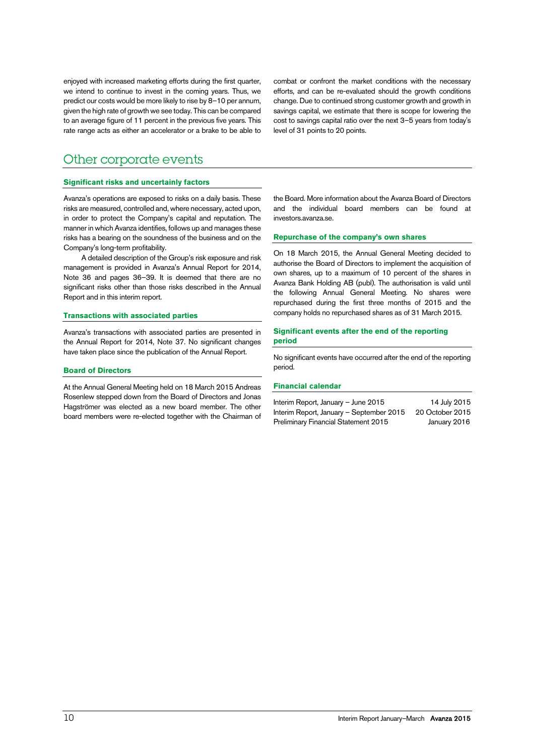enjoyed with increased marketing efforts during the first quarter, we intend to continue to invest in the coming years. Thus, we predict our costs would be more likely to rise by 8–10 per annum, given the high rate of growth we see today. This can be compared to an average figure of 11 percent in the previous five years. This rate range acts as either an accelerator or a brake to be able to combat or confront the market conditions with the necessary efforts, and can be re-evaluated should the growth conditions change. Due to continued strong customer growth and growth in savings capital, we estimate that there is scope for lowering the cost to savings capital ratio over the next 3–5 years from today's level of 31 points to 20 points.

# Other corporate events

# **Significant risks and uncertainly factors**

Avanza's operations are exposed to risks on a daily basis. These risks are measured, controlled and, where necessary, acted upon, in order to protect the Company's capital and reputation. The manner in which Avanza identifies, follows up and manages these risks has a bearing on the soundness of the business and on the Company's long-term profitability.

A detailed description of the Group's risk exposure and risk management is provided in Avanza's Annual Report for 2014, Note 36 and pages 36–39. It is deemed that there are no significant risks other than those risks described in the Annual Report and in this interim report.

### **Transactions with associated parties**

Avanza's transactions with associated parties are presented in the Annual Report for 2014, Note 37. No significant changes have taken place since the publication of the Annual Report.

### **Board of Directors**

At the Annual General Meeting held on 18 March 2015 Andreas Rosenlew stepped down from the Board of Directors and Jonas Hagströmer was elected as a new board member. The other board members were re-elected together with the Chairman of

the Board. More information about the Avanza Board of Directors and the individual board members can be found at investors.avanza.se.

# **Repurchase of the company's own shares**

On 18 March 2015, the Annual General Meeting decided to authorise the Board of Directors to implement the acquisition of own shares, up to a maximum of 10 percent of the shares in Avanza Bank Holding AB (publ). The authorisation is valid until the following Annual General Meeting. No shares were repurchased during the first three months of 2015 and the company holds no repurchased shares as of 31 March 2015.

# **Significant events after the end of the reporting period**

No significant events have occurred after the end of the reporting period.

# **Financial calendar**

| Interim Report, January – June 2015      | 14 July 2015    |
|------------------------------------------|-----------------|
| Interim Report, January – September 2015 | 20 October 2015 |
| Preliminary Financial Statement 2015     | January 2016    |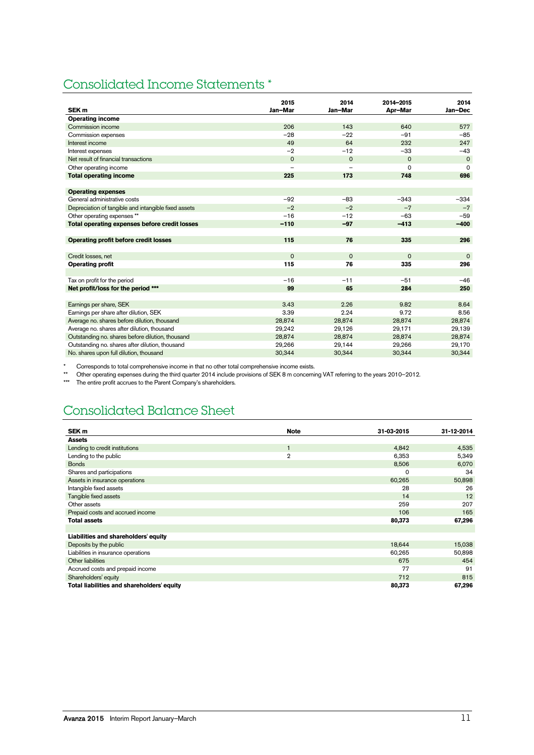# Consolidated Income Statements \*

|                                                      | 2015        | 2014                     | 2014-2015   | 2014        |
|------------------------------------------------------|-------------|--------------------------|-------------|-------------|
| SEK <sub>m</sub>                                     | Jan-Mar     | Jan-Mar                  | Apr-Mar     | Jan-Dec     |
| <b>Operating income</b>                              |             |                          |             |             |
| Commission income                                    | 206         | 143                      | 640         | 577         |
| Commission expenses                                  | $-28$       | $-22$                    | $-91$       | $-85$       |
| Interest income                                      | 49          | 64                       | 232         | 247         |
| Interest expenses                                    | $-2$        | $-12$                    | $-33$       | $-43$       |
| Net result of financial transactions                 | $\Omega$    | $\mathbf 0$              | $\mathbf 0$ | $\mathbf 0$ |
| Other operating income                               |             | $\overline{\phantom{0}}$ | 0           | $\Omega$    |
| <b>Total operating income</b>                        | 225         | 173                      | 748         | 696         |
|                                                      |             |                          |             |             |
| <b>Operating expenses</b>                            |             |                          |             |             |
| General administrative costs                         | $-92$       | $-83$                    | $-343$      | $-334$      |
| Depreciation of tangible and intangible fixed assets | $-2$        | $-2$                     | $-7$        | $-7$        |
| Other operating expenses **                          | $-16$       | $-12$                    | $-63$       | $-59$       |
| Total operating expenses before credit losses        | $-110$      | $-97$                    | $-413$      | $-400$      |
|                                                      |             |                          |             |             |
| <b>Operating profit before credit losses</b>         | 115         | 76                       | 335         | 296         |
|                                                      |             |                          |             |             |
| Credit losses, net                                   | $\mathbf 0$ | $\mathbf 0$              | $\mathbf 0$ | $\Omega$    |
| <b>Operating profit</b>                              | 115         | 76                       | 335         | 296         |
|                                                      |             |                          |             |             |
| Tax on profit for the period                         | $-16$       | $-11$                    | $-51$       | $-46$       |
| Net profit/loss for the period ***                   | 99          | 65                       | 284         | 250         |
|                                                      |             |                          |             |             |
| Earnings per share, SEK                              | 3.43        | 2.26                     | 9.82        | 8.64        |
| Earnings per share after dilution, SEK               | 3.39        | 2.24                     | 9.72        | 8.56        |
| Average no. shares before dilution, thousand         | 28,874      | 28,874                   | 28,874      | 28,874      |
| Average no. shares after dilution, thousand          | 29,242      | 29,126                   | 29,171      | 29,139      |
| Outstanding no. shares before dilution, thousand     | 28,874      | 28,874                   | 28,874      | 28,874      |
| Outstanding no. shares after dilution, thousand      | 29,266      | 29,144                   | 29,266      | 29,170      |
| No. shares upon full dilution, thousand              | 30,344      | 30,344                   | 30,344      | 30,344      |

Corresponds to total comprehensive income in that no other total comprehensive income exists.

\*\* Other operating expenses during the third quarter 2014 include provisions of SEK 8 m concerning VAT referring to the years 2010–2012.

\*\*\* The entire profit accrues to the Parent Company's shareholders.

# Consolidated Balance Sheet

| SEK <sub>m</sub>                           | <b>Note</b>    | 31-03-2015 | 31-12-2014 |
|--------------------------------------------|----------------|------------|------------|
| <b>Assets</b>                              |                |            |            |
| Lending to credit institutions             | $\overline{1}$ | 4,842      | 4,535      |
| Lending to the public                      | $\overline{2}$ | 6,353      | 5,349      |
| <b>Bonds</b>                               |                | 8,506      | 6,070      |
| Shares and participations                  |                | 0          | 34         |
| Assets in insurance operations             |                | 60,265     | 50,898     |
| Intangible fixed assets                    |                | 28         | 26         |
| Tangible fixed assets                      |                | 14         | 12         |
| Other assets                               |                | 259        | 207        |
| Prepaid costs and accrued income           |                | 106        | 165        |
| <b>Total assets</b>                        |                | 80,373     | 67,296     |
|                                            |                |            |            |
| Liabilities and shareholders' equity       |                |            |            |
| Deposits by the public                     |                | 18,644     | 15,038     |
| Liabilities in insurance operations        |                | 60,265     | 50,898     |
| Other liabilities                          |                | 675        | 454        |
| Accrued costs and prepaid income           |                | 77         | 91         |
| Shareholders' equity                       |                | 712        | 815        |
| Total liabilities and shareholders' equity |                | 80,373     | 67,296     |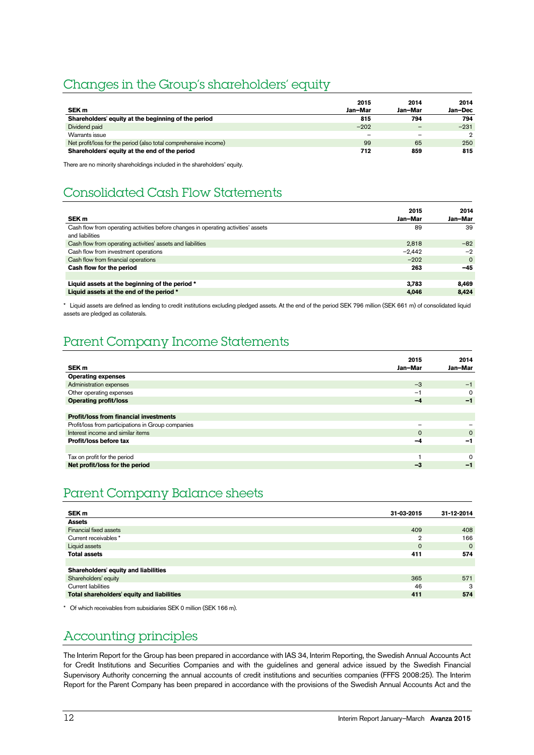# Changes in the Group's shareholders' equity

|                                                                  | 2015                     | 2014    | 2014          |
|------------------------------------------------------------------|--------------------------|---------|---------------|
| SEK <sub>m</sub>                                                 | Jan-Mar                  | Jan-Mar | Jan-Dec       |
| Shareholders' equity at the beginning of the period              | 815                      | 794     | 794           |
| Dividend paid                                                    | $-202$                   |         | $-231$        |
| Warrants issue                                                   | $\overline{\phantom{m}}$ |         | $\mathcal{D}$ |
| Net profit/loss for the period (also total comprehensive income) | 99                       | 65      | 250           |
| Shareholders' equity at the end of the period                    | 712                      | 859     | 815           |

There are no minority shareholdings included in the shareholders' equity.

# Consolidated Cash Flow Statements

| SEK <sub>m</sub>                                                                                      | 2015<br>Jan-Mar | 2014<br>Jan-Mar |
|-------------------------------------------------------------------------------------------------------|-----------------|-----------------|
| Cash flow from operating activities before changes in operating activities' assets<br>and liabilities | 89              | 39              |
| Cash flow from operating activities' assets and liabilities                                           | 2.818           | $-82$           |
| Cash flow from investment operations                                                                  | $-2.442$        | $-2$            |
| Cash flow from financial operations                                                                   | $-202$          | $\Omega$        |
| Cash flow for the period                                                                              | 263             | $-45$           |
|                                                                                                       |                 |                 |
| Liquid assets at the beginning of the period *                                                        | 3.783           | 8.469           |
| Liquid assets at the end of the period *                                                              | 4.046           | 8.424           |

\* Liquid assets are defined as lending to credit institutions excluding pledged assets. At the end of the period SEK 796 million (SEK 661 m) of consolidated liquid assets are pledged as collaterals.

# Parent Company Income Statements

|                                                    | 2015                     | 2014     |
|----------------------------------------------------|--------------------------|----------|
| SEK <sub>m</sub>                                   | Jan-Mar                  | Jan-Mar  |
| <b>Operating expenses</b>                          |                          |          |
| Administration expenses                            | $-3$                     | $-1$     |
| Other operating expenses                           | $-1$                     | $\Omega$ |
| <b>Operating profit/loss</b>                       | $-4$                     | $-1$     |
|                                                    |                          |          |
| <b>Profit/loss from financial investments</b>      |                          |          |
| Profit/loss from participations in Group companies | $\overline{\phantom{0}}$ |          |
| Interest income and similar items                  | $\Omega$                 | $\Omega$ |
| Profit/loss before tax                             | $-4$                     | -1       |
|                                                    |                          |          |
| Tax on profit for the period                       |                          | $\Omega$ |
| Net profit/loss for the period                     | $-3$                     | -1       |

# Parent Company Balance sheets

| SEK m                                      | 31-03-2015   | 31-12-2014 |
|--------------------------------------------|--------------|------------|
| <b>Assets</b>                              |              |            |
| Financial fixed assets                     | 409          | 408        |
| Current receivables *                      | $\mathbf{2}$ | 166        |
| Liquid assets                              | $\mathbf 0$  | $\Omega$   |
| <b>Total assets</b>                        | 411          | 574        |
|                                            |              |            |
| Shareholders' equity and liabilities       |              |            |
| Shareholders' equity                       | 365          | 571        |
| <b>Current liabilities</b>                 | 46           | 3          |
| Total shareholders' equity and liabilities | 411          | 574        |

\* Of which receivables from subsidiaries SEK 0 million (SEK 166 m).

# Accounting principles

The Interim Report for the Group has been prepared in accordance with IAS 34, Interim Reporting, the Swedish Annual Accounts Act for Credit Institutions and Securities Companies and with the guidelines and general advice issued by the Swedish Financial Supervisory Authority concerning the annual accounts of credit institutions and securities companies (FFFS 2008:25). The Interim Report for the Parent Company has been prepared in accordance with the provisions of the Swedish Annual Accounts Act and the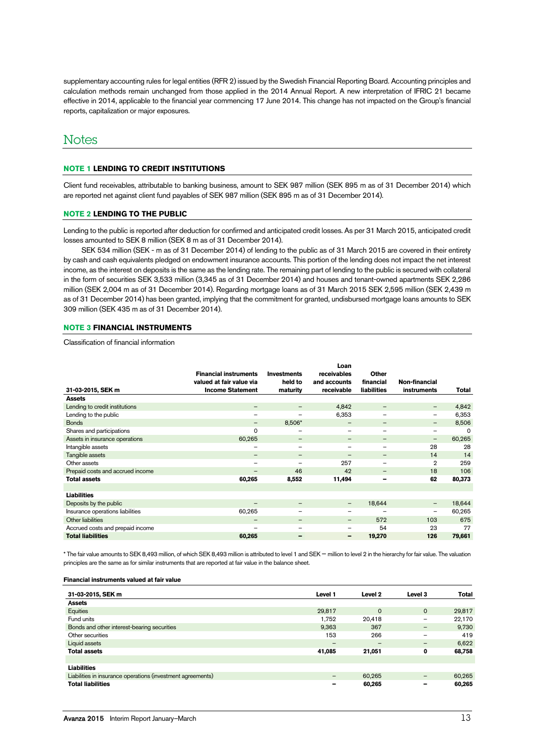supplementary accounting rules for legal entities (RFR 2) issued by the Swedish Financial Reporting Board. Accounting principles and calculation methods remain unchanged from those applied in the 2014 Annual Report. A new interpretation of IFRIC 21 became effective in 2014, applicable to the financial year commencing 17 June 2014. This change has not impacted on the Group's financial reports, capitalization or major exposures.

# **Notes**

### **NOTE 1 LENDING TO CREDIT INSTITUTIONS**

Client fund receivables, attributable to banking business, amount to SEK 987 million (SEK 895 m as of 31 December 2014) which are reported net against client fund payables of SEK 987 million (SEK 895 m as of 31 December 2014).

### **NOTE 2 LENDING TO THE PUBLIC**

Lending to the public is reported after deduction for confirmed and anticipated credit losses. As per 31 March 2015, anticipated credit losses amounted to SEK 8 million (SEK 8 m as of 31 December 2014).

SEK 534 million (SEK - m as of 31 December 2014) of lending to the public as of 31 March 2015 are covered in their entirety by cash and cash equivalents pledged on endowment insurance accounts. This portion of the lending does not impact the net interest income, as the interest on deposits is the same as the lending rate. The remaining part of lending to the public is secured with collateral in the form of securities SEK 3,533 million (3,345 as of 31 December 2014) and houses and tenant-owned apartments SEK 2,286 million (SEK 2,004 m as of 31 December 2014). Regarding mortgage loans as of 31 March 2015 SEK 2,595 million (SEK 2,439 m as of 31 December 2014) has been granted, implying that the commitment for granted, undisbursed mortgage loans amounts to SEK 309 million (SEK 435 m as of 31 December 2014).

# **NOTE 3 FINANCIAL INSTRUMENTS**

Classification of financial information

|                                  | <b>Financial instruments</b> | <b>Investments</b>       | Loan<br>receivables | <b>Other</b>             |                          |        |
|----------------------------------|------------------------------|--------------------------|---------------------|--------------------------|--------------------------|--------|
|                                  | valued at fair value via     | held to                  | and accounts        | financial                | Non-financial            |        |
| 31-03-2015, SEK m                | <b>Income Statement</b>      | maturity                 | receivable          | <b>liabilities</b>       | instruments              | Total  |
| <b>Assets</b>                    |                              |                          |                     |                          |                          |        |
| Lending to credit institutions   | $\overline{\phantom{m}}$     | $\qquad \qquad$          | 4,842               |                          | -                        | 4,842  |
| Lending to the public            | -                            | $\overline{\phantom{m}}$ | 6,353               | $\overline{\phantom{m}}$ | -                        | 6,353  |
| <b>Bonds</b>                     | -                            | 8,506*                   |                     |                          | -                        | 8,506  |
| Shares and participations        | 0                            | $\qquad \qquad$          | $\qquad \qquad$     |                          | $\overline{\phantom{0}}$ | 0      |
| Assets in insurance operations   | 60,265                       | $\overline{\phantom{m}}$ | $\qquad \qquad$     | $\overline{\phantom{m}}$ | $\qquad \qquad -$        | 60,265 |
| Intangible assets                | —                            | $\qquad \qquad$          | —                   | $\overline{\phantom{m}}$ | 28                       | 28     |
| Tangible assets                  | $\qquad \qquad -$            | $\overline{\phantom{m}}$ | $\qquad \qquad$     | $\overline{\phantom{m}}$ | 14                       | 14     |
| Other assets                     | —                            | $\overline{\phantom{m}}$ | 257                 |                          | $\overline{2}$           | 259    |
| Prepaid costs and accrued income | -                            | 46                       | 42                  |                          | 18                       | 106    |
| <b>Total assets</b>              | 60,265                       | 8,552                    | 11,494              | -                        | 62                       | 80,373 |
|                                  |                              |                          |                     |                          |                          |        |
| <b>Liabilities</b>               |                              |                          |                     |                          |                          |        |
| Deposits by the public           | -                            | $\qquad \qquad$          | -                   | 18,644                   | -                        | 18,644 |
| Insurance operations liabilities | 60,265                       |                          | -                   |                          | $\overline{\phantom{0}}$ | 60,265 |
| Other liabilities                | $\qquad \qquad$              | $\overline{\phantom{m}}$ | -                   | 572                      | 103                      | 675    |
| Accrued costs and prepaid income | —                            | $\qquad \qquad$          |                     | 54                       | 23                       | 77     |
| <b>Total liabilities</b>         | 60,265                       |                          | -                   | 19,270                   | 126                      | 79,661 |

\* The fair value amounts to SEK 8,493 million, of which SEK 8,493 million is attributed to level 1 and SEK – million to level 2 in the hierarchy for fair value. The valuation principles are the same as for similar instruments that are reported at fair value in the balance sheet.

#### **Financial instruments valued at fair value**

| 31-03-2015, SEK m                                           | Level 1         | Level 2  | Level 3     | Total  |
|-------------------------------------------------------------|-----------------|----------|-------------|--------|
| <b>Assets</b>                                               |                 |          |             |        |
| Equities                                                    | 29,817          | $\Omega$ | $\mathbf 0$ | 29,817 |
| Fund units                                                  | 1.752           | 20,418   | -           | 22,170 |
| Bonds and other interest-bearing securities                 | 9.363           | 367      |             | 9,730  |
| Other securities                                            | 153             | 266      | -           | 419    |
| Liquid assets                                               | $\qquad \qquad$ | -        | -           | 6,622  |
| <b>Total assets</b>                                         | 41,085          | 21,051   | 0           | 68,758 |
|                                                             |                 |          |             |        |
| <b>Liabilities</b>                                          |                 |          |             |        |
| Liabilities in insurance operations (investment agreements) | $\qquad \qquad$ | 60,265   | -           | 60,265 |
| <b>Total liabilities</b>                                    |                 | 60,265   | -           | 60.265 |
|                                                             |                 |          |             |        |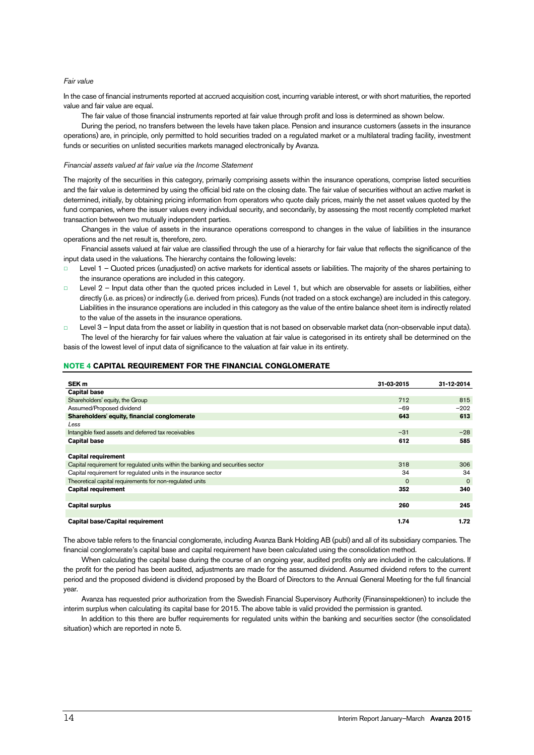### Fair value

In the case of financial instruments reported at accrued acquisition cost, incurring variable interest, or with short maturities, the reported value and fair value are equal.

The fair value of those financial instruments reported at fair value through profit and loss is determined as shown below.

During the period, no transfers between the levels have taken place. Pension and insurance customers (assets in the insurance operations) are, in principle, only permitted to hold securities traded on a regulated market or a multilateral trading facility, investment funds or securities on unlisted securities markets managed electronically by Avanza.

### Financial assets valued at fair value via the Income Statement

The majority of the securities in this category, primarily comprising assets within the insurance operations, comprise listed securities and the fair value is determined by using the official bid rate on the closing date. The fair value of securities without an active market is determined, initially, by obtaining pricing information from operators who quote daily prices, mainly the net asset values quoted by the fund companies, where the issuer values every individual security, and secondarily, by assessing the most recently completed market transaction between two mutually independent parties.

Changes in the value of assets in the insurance operations correspond to changes in the value of liabilities in the insurance operations and the net result is, therefore, zero.

Financial assets valued at fair value are classified through the use of a hierarchy for fair value that reflects the significance of the input data used in the valuations. The hierarchy contains the following levels:

- Level 1 Quoted prices (unadjusted) on active markets for identical assets or liabilities. The majority of the shares pertaining to the insurance operations are included in this category.
- □ Level 2 Input data other than the quoted prices included in Level 1, but which are observable for assets or liabilities, either directly (i.e. as prices) or indirectly (i.e. derived from prices). Funds (not traded on a stock exchange) are included in this category. Liabilities in the insurance operations are included in this category as the value of the entire balance sheet item is indirectly related to the value of the assets in the insurance operations.
- Level 3 Input data from the asset or liability in question that is not based on observable market data (non-observable input data). The level of the hierarchy for fair values where the valuation at fair value is categorised in its entirety shall be determined on the basis of the lowest level of input data of significance to the valuation at fair value in its entirety.

# **NOTE 4 CAPITAL REQUIREMENT FOR THE FINANCIAL CONGLOMERATE**

| SEK <sub>m</sub>                                                                 | 31-03-2015 | 31-12-2014 |
|----------------------------------------------------------------------------------|------------|------------|
| <b>Capital base</b>                                                              |            |            |
| Shareholders' equity, the Group                                                  | 712        | 815        |
| Assumed/Proposed dividend                                                        | $-69$      | $-202$     |
| Shareholders' equity, financial conglomerate                                     | 643        | 613        |
| Less                                                                             |            |            |
| Intangible fixed assets and deferred tax receivables                             | $-31$      | $-28$      |
| <b>Capital base</b>                                                              | 612        | 585        |
|                                                                                  |            |            |
| <b>Capital requirement</b>                                                       |            |            |
| Capital requirement for regulated units within the banking and securities sector | 318        | 306        |
| Capital requirement for regulated units in the insurance sector                  | 34         | 34         |
| Theoretical capital requirements for non-regulated units                         | $\Omega$   | $\Omega$   |
| <b>Capital requirement</b>                                                       | 352        | 340        |
|                                                                                  |            |            |
| <b>Capital surplus</b>                                                           | 260        | 245        |
|                                                                                  |            |            |
| Capital base/Capital requirement                                                 | 1.74       | 1.72       |

The above table refers to the financial conglomerate, including Avanza Bank Holding AB (publ) and all of its subsidiary companies. The financial conglomerate's capital base and capital requirement have been calculated using the consolidation method.

When calculating the capital base during the course of an ongoing year, audited profits only are included in the calculations. If the profit for the period has been audited, adjustments are made for the assumed dividend. Assumed dividend refers to the current period and the proposed dividend is dividend proposed by the Board of Directors to the Annual General Meeting for the full financial year.

Avanza has requested prior authorization from the Swedish Financial Supervisory Authority (Finansinspektionen) to include the interim surplus when calculating its capital base for 2015. The above table is valid provided the permission is granted.

In addition to this there are buffer requirements for regulated units within the banking and securities sector (the consolidated situation) which are reported in note 5.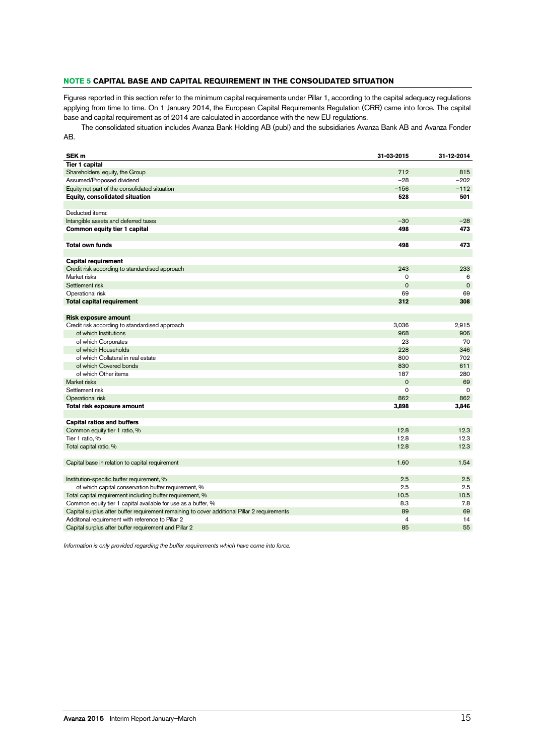# **NOTE 5 CAPITAL BASE AND CAPITAL REQUIREMENT IN THE CONSOLIDATED SITUATION**

Figures reported in this section refer to the minimum capital requirements under Pillar 1, according to the capital adequacy regulations applying from time to time. On 1 January 2014, the European Capital Requirements Regulation (CRR) came into force. The capital base and capital requirement as of 2014 are calculated in accordance with the new EU regulations.

The consolidated situation includes Avanza Bank Holding AB (publ) and the subsidiaries Avanza Bank AB and Avanza Fonder AB.

| SEK <sub>m</sub>                                                                             | 31-03-2015  | 31-12-2014  |
|----------------------------------------------------------------------------------------------|-------------|-------------|
| <b>Tier 1 capital</b>                                                                        |             |             |
| Shareholders' equity, the Group                                                              | 712         | 815         |
| Assumed/Proposed dividend                                                                    | $-28$       | $-202$      |
| Equity not part of the consolidated situation                                                | $-156$      | $-112$      |
| Equity, consolidated situation                                                               | 528         | 501         |
|                                                                                              |             |             |
| Deducted items:                                                                              |             |             |
| Intangible assets and deferred taxes                                                         | $-30$       | $-28$       |
| Common equity tier 1 capital                                                                 | 498         | 473         |
|                                                                                              |             |             |
| <b>Total own funds</b>                                                                       | 498         | 473         |
|                                                                                              |             |             |
| <b>Capital requirement</b>                                                                   |             |             |
| Credit risk according to standardised approach                                               | 243         | 233         |
| Market risks                                                                                 | $\Omega$    | 6           |
| Settlement risk                                                                              | $\mathbf 0$ | $\mathbf 0$ |
| Operational risk                                                                             | 69          | 69          |
| <b>Total capital requirement</b>                                                             | 312         | 308         |
|                                                                                              |             |             |
| <b>Risk exposure amount</b>                                                                  |             |             |
| Credit risk according to standardised approach                                               | 3,036       | 2,915       |
| of which Institutions                                                                        | 968         | 906         |
| of which Corporates                                                                          | 23          | 70          |
| of which Households                                                                          | 228         | 346         |
| of which Collateral in real estate                                                           | 800         | 702         |
| of which Covered bonds                                                                       | 830         | 611         |
| of which Other items                                                                         | 187         | 280         |
| Market risks                                                                                 | $\mathbf 0$ | 69          |
| Settlement risk                                                                              | $\Omega$    | $\Omega$    |
| Operational risk                                                                             | 862         | 862         |
| Total risk exposure amount                                                                   | 3,898       | 3,846       |
|                                                                                              |             |             |
| <b>Capital ratios and buffers</b>                                                            |             |             |
| Common equity tier 1 ratio, %                                                                | 12.8        | 12.3        |
| Tier 1 ratio, %                                                                              | 12.8        | 12.3        |
| Total capital ratio, %                                                                       | 12.8        | 12.3        |
|                                                                                              |             |             |
| Capital base in relation to capital requirement                                              | 1.60        | 1.54        |
|                                                                                              |             |             |
| Institution-specific buffer requirement, %                                                   | 2.5         | 2.5         |
| of which capital conservation buffer requirement, %                                          | 2.5         | 2.5         |
| Total capital requirement including buffer requirement, %                                    | 10.5        | 10.5        |
| Common equity tier 1 capital available for use as a buffer, %                                | 8.3         | 7.8         |
| Capital surplus after buffer requirement remaining to cover additional Pillar 2 requirements | 89          | 69          |
| Additonal requirement with reference to Pillar 2                                             | 4           | 14          |
| Capital surplus after buffer requirement and Pillar 2                                        | 85          | 55          |

Information is only provided regarding the buffer requirements which have come into force.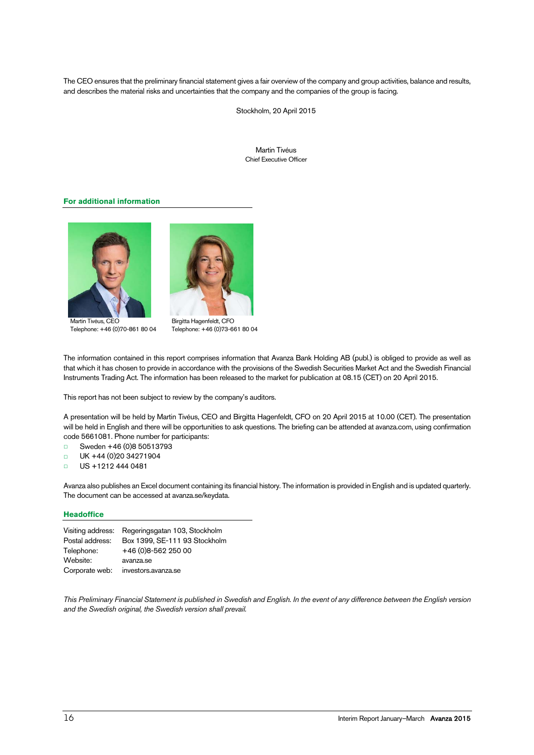The CEO ensures that the preliminary financial statement gives a fair overview of the company and group activities, balance and results, and describes the material risks and uncertainties that the company and the companies of the group is facing.

Stockholm, 20 April 2015

Martin Tivéus Chief Executive Officer

# **For additional information**



Martin Tivéus, CEO Telephone: +46 (0)70-861 80 04



Birgitta Hagenfeldt, CFO Telephone: +46 (0)73-661 80 04

The information contained in this report comprises information that Avanza Bank Holding AB (publ.) is obliged to provide as well as that which it has chosen to provide in accordance with the provisions of the Swedish Securities Market Act and the Swedish Financial Instruments Trading Act. The information has been released to the market for publication at 08.15 (CET) on 20 April 2015.

This report has not been subject to review by the company's auditors.

A presentation will be held by Martin Tivéus, CEO and Birgitta Hagenfeldt, CFO on 20 April 2015 at 10.00 (CET). The presentation will be held in English and there will be opportunities to ask questions. The briefing can be attended at avanza.com, using confirmation code 5661081. Phone number for participants:

- □ Sweden +46 (0)8 50513793
- □ UK +44 (0)20 34271904
- □ US +1212 444 0481

Avanza also publishes an Excel document containing its financial history. The information is provided in English and is updated quarterly. The document can be accessed at avanza.se/keydata.

# **Headoffice**

| Regeringsgatan 103, Stockholm<br>Visiting address: |
|----------------------------------------------------|
| Box 1399, SE-111 93 Stockholm                      |
| +46 (0)8-562 250 00                                |
| avanza.se                                          |
| investors.avanza.se                                |
|                                                    |

This Preliminary Financial Statement is published in Swedish and English. In the event of any difference between the English version and the Swedish original, the Swedish version shall prevail.